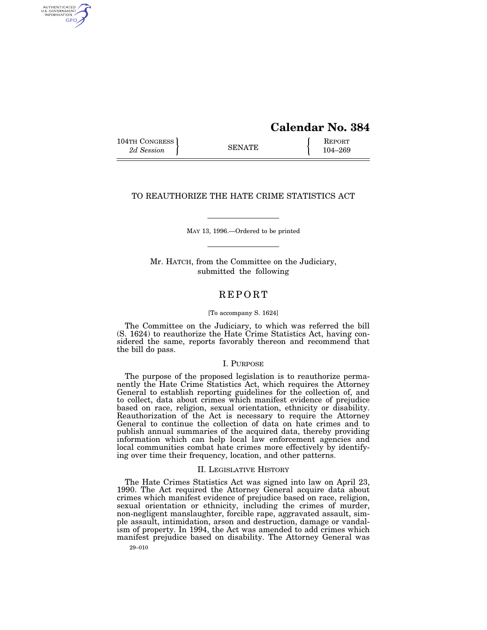## **Calendar No. 384**

104TH CONGRESS SENATE REPORT 2*d Session* **EXAMPLE** 104–269

AUTHENTICATED<br>U.S. GOVERNMENT<br>INFORMATION GPO

TO REAUTHORIZE THE HATE CRIME STATISTICS ACT

MAY 13, 1996.—Ordered to be printed

Mr. HATCH, from the Committee on the Judiciary, submitted the following

### REPORT

#### [To accompany S. 1624]

The Committee on the Judiciary, to which was referred the bill (S. 1624) to reauthorize the Hate Crime Statistics Act, having considered the same, reports favorably thereon and recommend that the bill do pass.

#### I. PURPOSE

The purpose of the proposed legislation is to reauthorize permanently the Hate Crime Statistics Act, which requires the Attorney General to establish reporting guidelines for the collection of, and to collect, data about crimes which manifest evidence of prejudice based on race, religion, sexual orientation, ethnicity or disability. Reauthorization of the Act is necessary to require the Attorney General to continue the collection of data on hate crimes and to publish annual summaries of the acquired data, thereby providing information which can help local law enforcement agencies and local communities combat hate crimes more effectively by identifying over time their frequency, location, and other patterns.

#### II. LEGISLATIVE HISTORY

The Hate Crimes Statistics Act was signed into law on April 23, 1990. The Act required the Attorney General acquire data about crimes which manifest evidence of prejudice based on race, religion, sexual orientation or ethnicity, including the crimes of murder, non-negligent manslaughter, forcible rape, aggravated assault, simple assault, intimidation, arson and destruction, damage or vandalism of property. In 1994, the Act was amended to add crimes which manifest prejudice based on disability. The Attorney General was

29–010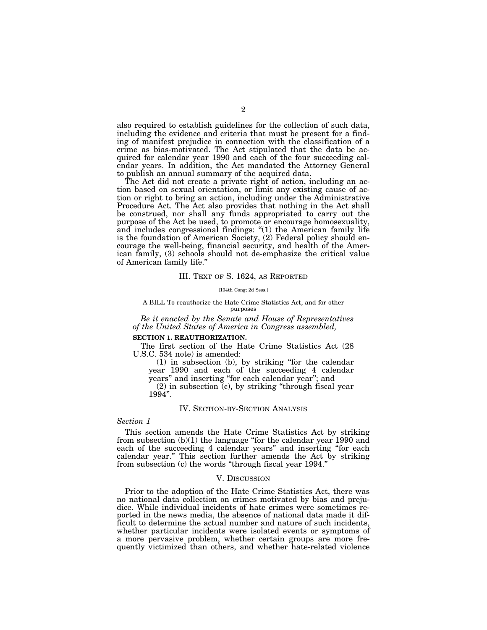also required to establish guidelines for the collection of such data, including the evidence and criteria that must be present for a finding of manifest prejudice in connection with the classification of a crime as bias-motivated. The Act stipulated that the data be acquired for calendar year 1990 and each of the four succeeding calendar years. In addition, the Act mandated the Attorney General to publish an annual summary of the acquired data.

The Act did not create a private right of action, including an action based on sexual orientation, or limit any existing cause of action or right to bring an action, including under the Administrative Procedure Act. The Act also provides that nothing in the Act shall be construed, nor shall any funds appropriated to carry out the purpose of the Act be used, to promote or encourage homosexuality, and includes congressional findings: ''(1) the American family life is the foundation of American Society, (2) Federal policy should encourage the well-being, financial security, and health of the American family, (3) schools should not de-emphasize the critical value of American family life.''

#### III. TEXT OF S. 1624, AS REPORTED

[104th Cong; 2d Sess.]

#### A BILL To reauthorize the Hate Crime Statistics Act, and for other purposes

*Be it enacted by the Senate and House of Representatives of the United States of America in Congress assembled,*

#### **SECTION 1. REAUTHORIZATION.**

The first section of the Hate Crime Statistics Act (28 U.S.C. 534 note) is amended:

(1) in subsection (b), by striking ''for the calendar year 1990 and each of the succeeding 4 calendar years'' and inserting ''for each calendar year''; and (2) in subsection (c), by striking ''through fiscal year

1994''.

#### IV. SECTION-BY-SECTION ANALYSIS

#### *Section 1*

This section amends the Hate Crime Statistics Act by striking from subsection  $(b)(1)$  the language "for the calendar year 1990 and each of the succeeding 4 calendar years'' and inserting ''for each calendar year.'' This section further amends the Act by striking from subsection (c) the words ''through fiscal year 1994.''

#### V. DISCUSSION

Prior to the adoption of the Hate Crime Statistics Act, there was no national data collection on crimes motivated by bias and prejudice. While individual incidents of hate crimes were sometimes reported in the news media, the absence of national data made it difficult to determine the actual number and nature of such incidents, whether particular incidents were isolated events or symptoms of a more pervasive problem, whether certain groups are more frequently victimized than others, and whether hate-related violence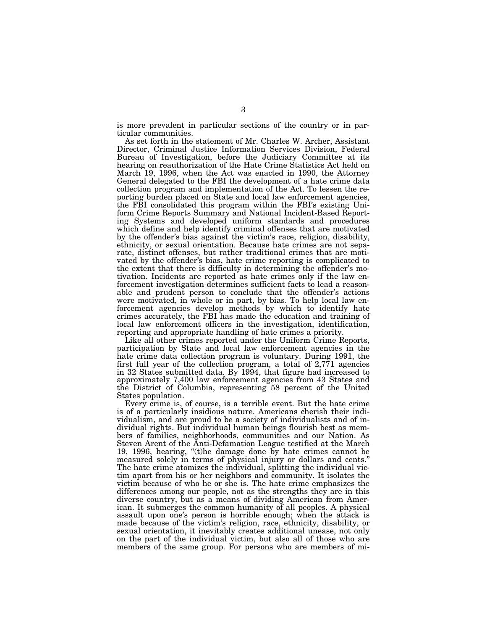is more prevalent in particular sections of the country or in particular communities.

As set forth in the statement of Mr. Charles W. Archer, Assistant Director, Criminal Justice Information Services Division, Federal Bureau of Investigation, before the Judiciary Committee at its hearing on reauthorization of the Hate Crime Statistics Act held on March 19, 1996, when the Act was enacted in 1990, the Attorney General delegated to the FBI the development of a hate crime data collection program and implementation of the Act. To lessen the reporting burden placed on State and local law enforcement agencies, the FBI consolidated this program within the FBI's existing Uniform Crime Reports Summary and National Incident-Based Reporting Systems and developed uniform standards and procedures which define and help identify criminal offenses that are motivated by the offender's bias against the victim's race, religion, disability, ethnicity, or sexual orientation. Because hate crimes are not separate, distinct offenses, but rather traditional crimes that are motivated by the offender's bias, hate crime reporting is complicated to the extent that there is difficulty in determining the offender's motivation. Incidents are reported as hate crimes only if the law enforcement investigation determines sufficient facts to lead a reasonable and prudent person to conclude that the offender's actions were motivated, in whole or in part, by bias. To help local law enforcement agencies develop methods by which to identify hate crimes accurately, the FBI has made the education and training of local law enforcement officers in the investigation, identification, reporting and appropriate handling of hate crimes a priority.

Like all other crimes reported under the Uniform Crime Reports, participation by State and local law enforcement agencies in the hate crime data collection program is voluntary. During 1991, the first full year of the collection program, a total of 2,771 agencies in 32 States submitted data. By 1994, that figure had increased to approximately 7,400 law enforcement agencies from 43 States and the District of Columbia, representing 58 percent of the United States population.

Every crime is, of course, is a terrible event. But the hate crime is of a particularly insidious nature. Americans cherish their individualism, and are proud to be a society of individualists and of individual rights. But individual human beings flourish best as members of families, neighborhoods, communities and our Nation. As Steven Arent of the Anti-Defamation League testified at the March 19, 1996, hearing, ''(t)he damage done by hate crimes cannot be measured solely in terms of physical injury or dollars and cents.'' The hate crime atomizes the individual, splitting the individual victim apart from his or her neighbors and community. It isolates the victim because of who he or she is. The hate crime emphasizes the differences among our people, not as the strengths they are in this diverse country, but as a means of dividing American from American. It submerges the common humanity of all peoples. A physical assault upon one's person is horrible enough; when the attack is made because of the victim's religion, race, ethnicity, disability, or sexual orientation, it inevitably creates additional unease, not only on the part of the individual victim, but also all of those who are members of the same group. For persons who are members of mi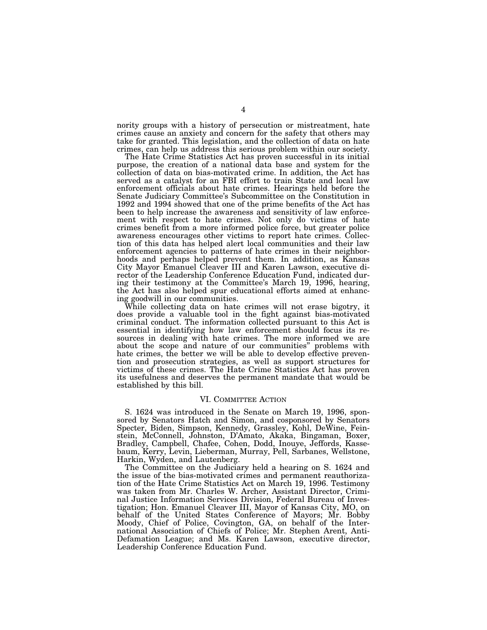nority groups with a history of persecution or mistreatment, hate crimes cause an anxiety and concern for the safety that others may take for granted. This legislation, and the collection of data on hate crimes, can help us address this serious problem within our society.

The Hate Crime Statistics Act has proven successful in its initial purpose, the creation of a national data base and system for the collection of data on bias-motivated crime. In addition, the Act has served as a catalyst for an FBI effort to train State and local law enforcement officials about hate crimes. Hearings held before the Senate Judiciary Committee's Subcommittee on the Constitution in 1992 and 1994 showed that one of the prime benefits of the Act has been to help increase the awareness and sensitivity of law enforcement with respect to hate crimes. Not only do victims of hate crimes benefit from a more informed police force, but greater police awareness encourages other victims to report hate crimes. Collection of this data has helped alert local communities and their law enforcement agencies to patterns of hate crimes in their neighborhoods and perhaps helped prevent them. In addition, as Kansas City Mayor Emanuel Cleaver III and Karen Lawson, executive director of the Leadership Conference Education Fund, indicated during their testimony at the Committee's March 19, 1996, hearing, the Act has also helped spur educational efforts aimed at enhancing goodwill in our communities.

While collecting data on hate crimes will not erase bigotry, it does provide a valuable tool in the fight against bias-motivated criminal conduct. The information collected pursuant to this Act is essential in identifying how law enforcement should focus its resources in dealing with hate crimes. The more informed we are about the scope and nature of our communities'' problems with hate crimes, the better we will be able to develop effective prevention and prosecution strategies, as well as support structures for victims of these crimes. The Hate Crime Statistics Act has proven its usefulness and deserves the permanent mandate that would be established by this bill.

#### VI. COMMITTEE ACTION

S. 1624 was introduced in the Senate on March 19, 1996, sponsored by Senators Hatch and Simon, and cosponsored by Senators Specter, Biden, Simpson, Kennedy, Grassley, Kohl, DeWine, Feinstein, McConnell, Johnston, D'Amato, Akaka, Bingaman, Boxer, Bradley, Campbell, Chafee, Cohen, Dodd, Inouye, Jeffords, Kassebaum, Kerry, Levin, Lieberman, Murray, Pell, Sarbanes, Wellstone, Harkin, Wyden, and Lautenberg.

The Committee on the Judiciary held a hearing on S. 1624 and the issue of the bias-motivated crimes and permanent reauthorization of the Hate Crime Statistics Act on March 19, 1996. Testimony was taken from Mr. Charles W. Archer, Assistant Director, Criminal Justice Information Services Division, Federal Bureau of Investigation; Hon. Emanuel Cleaver III, Mayor of Kansas City, MO, on behalf of the United States Conference of Mayors; Mr. Bobby Moody, Chief of Police, Covington, GA, on behalf of the International Association of Chiefs of Police; Mr. Stephen Arent, Anti-Defamation League; and Ms. Karen Lawson, executive director, Leadership Conference Education Fund.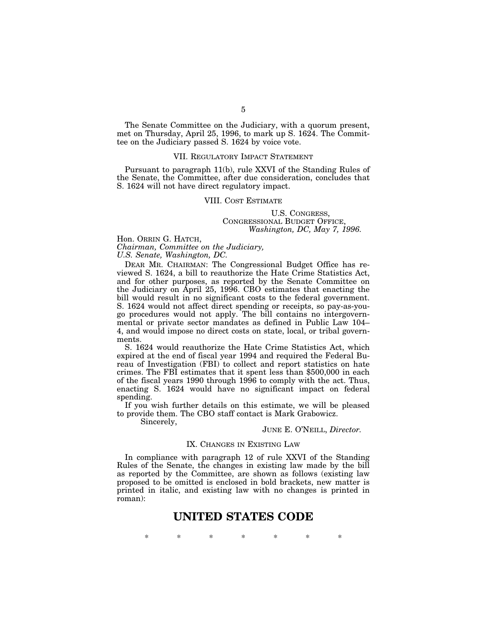The Senate Committee on the Judiciary, with a quorum present, met on Thursday, April 25, 1996, to mark up S. 1624. The Committee on the Judiciary passed S. 1624 by voice vote.

#### VII. REGULATORY IMPACT STATEMENT

Pursuant to paragraph 11(b), rule XXVI of the Standing Rules of the Senate, the Committee, after due consideration, concludes that S. 1624 will not have direct regulatory impact.

#### VIII. COST ESTIMATE

U.S. CONGRESS, CONGRESSIONAL BUDGET OFFICE, *Washington, DC, May 7, 1996.*

Hon. ORRIN G. HATCH, *Chairman, Committee on the Judiciary,*

*U.S. Senate, Washington, DC.*

DEAR MR. CHAIRMAN: The Congressional Budget Office has reviewed S. 1624, a bill to reauthorize the Hate Crime Statistics Act, and for other purposes, as reported by the Senate Committee on the Judiciary on April 25, 1996. CBO estimates that enacting the bill would result in no significant costs to the federal government. S. 1624 would not affect direct spending or receipts, so pay-as-yougo procedures would not apply. The bill contains no intergovernmental or private sector mandates as defined in Public Law 104– 4, and would impose no direct costs on state, local, or tribal governments.

S. 1624 would reauthorize the Hate Crime Statistics Act, which expired at the end of fiscal year 1994 and required the Federal Bureau of Investigation (FBI) to collect and report statistics on hate crimes. The FBI estimates that it spent less than \$500,000 in each of the fiscal years 1990 through 1996 to comply with the act. Thus, enacting S. 1624 would have no significant impact on federal spending.

If you wish further details on this estimate, we will be pleased to provide them. The CBO staff contact is Mark Grabowicz.

Sincerely,

#### JUNE E. O'NEILL, *Director.*

#### IX. CHANGES IN EXISTING LAW

In compliance with paragraph 12 of rule XXVI of the Standing Rules of the Senate, the changes in existing law made by the bill as reported by the Committee, are shown as follows (existing law proposed to be omitted is enclosed in bold brackets, new matter is printed in italic, and existing law with no changes is printed in roman):

### **UNITED STATES CODE**

\* \* \* \* \* \* \*